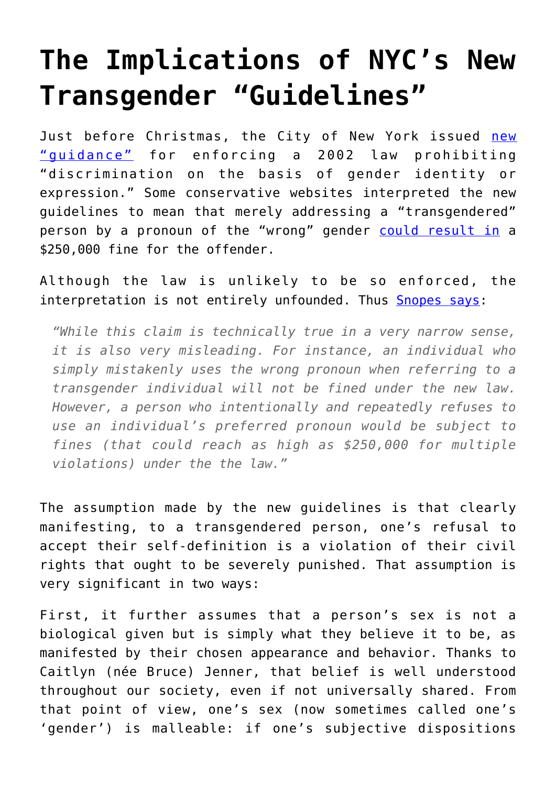## **[The Implications of NYC's New](https://intellectualtakeout.org/2016/01/the-implications-of-nycs-new-transgender-guidelines/) [Transgender "Guidelines"](https://intellectualtakeout.org/2016/01/the-implications-of-nycs-new-transgender-guidelines/)**

Just before Christmas, the City of New York issued [new](http://www.nyc.gov/html/cchr/html/law/gender-identity-legalguidance.shtml) ["guidance"](http://www.nyc.gov/html/cchr/html/law/gender-identity-legalguidance.shtml) for enforcing a 2002 law prohibiting "discrimination on the basis of gender identity or expression." Some conservative websites interpreted the new guidelines to mean that merely addressing a "transgendered" person by a pronoun of the "wrong" gender [could result in](http://www.breitbart.com/tech/2015/12/27/nyc-will-fine-you-250000-for-misgendering-a-transsexual/) a \$250,000 fine for the offender.

Although the law is unlikely to be so enforced, the interpretation is not entirely unfounded. Thus [Snopes says:](http://www.snopes.com/transgender-pronouns-fine-nyc/)

*"While this claim is technically true in a very narrow sense, it is also very misleading. For instance, an individual who simply mistakenly uses the wrong pronoun when referring to a transgender individual will not be fined under the new law. However, a person who intentionally and repeatedly refuses to use an individual's preferred pronoun would be subject to fines (that could reach as high as \$250,000 for multiple violations) under the the law."*

The assumption made by the new guidelines is that clearly manifesting, to a transgendered person, one's refusal to accept their self-definition is a violation of their civil rights that ought to be severely punished. That assumption is very significant in two ways:

First, it further assumes that a person's sex is not a biological given but is simply what they believe it to be, as manifested by their chosen appearance and behavior. Thanks to Caitlyn (née Bruce) Jenner, that belief is well understood throughout our society, even if not universally shared. From that point of view, one's sex (now sometimes called one's 'gender') is malleable: if one's subjective dispositions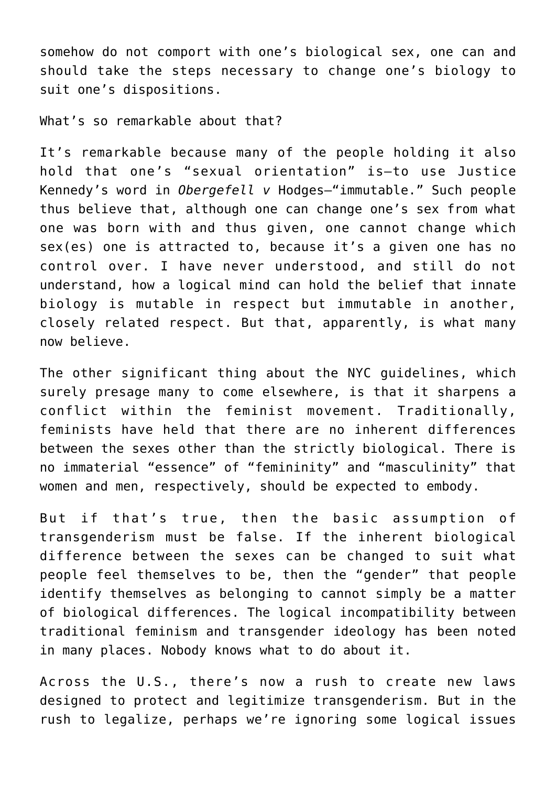somehow do not comport with one's biological sex, one can and should take the steps necessary to change one's biology to suit one's dispositions.

What's so remarkable about that?

It's remarkable because many of the people holding it also hold that one's "sexual orientation" is—to use Justice Kennedy's word in *Obergefell v* Hodges—"immutable." Such people thus believe that, although one can change one's sex from what one was born with and thus given, one cannot change which sex(es) one is attracted to, because it's a given one has no control over. I have never understood, and still do not understand, how a logical mind can hold the belief that innate biology is mutable in respect but immutable in another, closely related respect. But that, apparently, is what many now believe.

The other significant thing about the NYC guidelines, which surely presage many to come elsewhere, is that it sharpens a conflict within the feminist movement. Traditionally, feminists have held that there are no inherent differences between the sexes other than the strictly biological. There is no immaterial "essence" of "femininity" and "masculinity" that women and men, respectively, should be expected to embody.

But if that's true, then the basic assumption of transgenderism must be false. If the inherent biological difference between the sexes can be changed to suit what people feel themselves to be, then the "gender" that people identify themselves as belonging to cannot simply be a matter of biological differences. The logical incompatibility between traditional feminism and transgender ideology has been noted in many places. Nobody knows what to do about it.

Across the U.S., there's now a rush to create new laws designed to protect and legitimize transgenderism. But in the rush to legalize, perhaps we're ignoring some logical issues